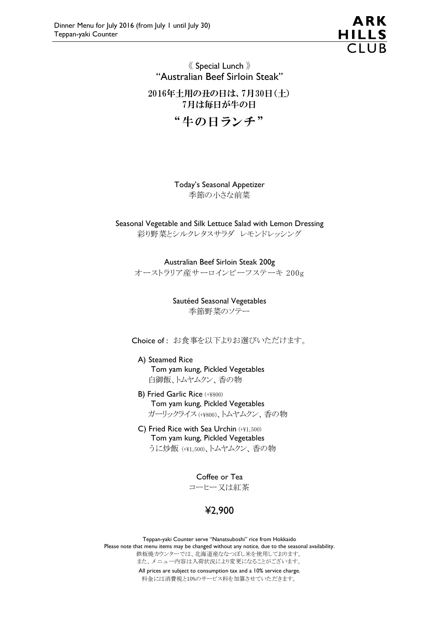

# 《 Special Lunch 》 "Australian Beef Sirloin Steak"

2016年土用の丑の日は、7月30日(土) 7月は毎日が牛の日

"牛の日ランチ"

Today's Seasonal Appetizer 季節の小さな前菜

Seasonal Vegetable and Silk Lettuce Salad with Lemon Dressing 彩り野菜とシルクレタスサラダ レモンドレッシング

Australian Beef Sirloin Steak 200g オーストラリア産サーロインビーフステーキ 200g

> Sautéed Seasonal Vegetables 季節野菜のソテー

Choice of : お食事を以下よりお選びいただけます。

A) Steamed Rice Tom yam kung, Pickled Vegetables 白御飯、トムヤムクン、香の物

- B) Fried Garlic Rice (+¥800) Tom yam kung, Pickled Vegetables ガーリックライス (+¥800)、トムヤムクン、香の物
- C) Fried Rice with Sea Urchin (+¥1,500) Tom yam kung, Pickled Vegetables うに炒飯 (+¥1,500)、トムヤムクン、香の物

Coffee or Tea コーヒー又は紅茶

¥2,900

Teppan-yaki Counter serve "Nanatsuboshi" rice from Hokkaido Please note that menu items may be changed without any notice, due to the seasonal availability. 鉄板焼カウンターでは、北海道産ななつぼし米を使用しております。 また、メニュー内容は入荷状況により変更になることがございます。 All prices are subject to consumption tax and a 10% service charge. 料金には消費税と10%のサービス料を加算させていただきます。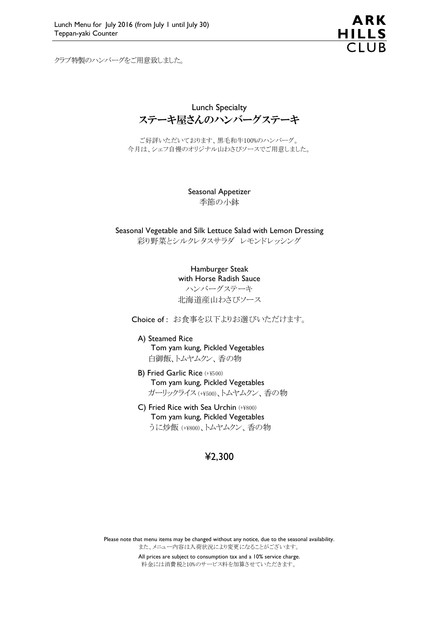クラブ特製のハンバーグをご用意致しました。



Lunch Specialty ステーキ屋さんのハンバーグステーキ

ご好評いただいております、黒毛和牛100%のハンバーグ。 今月は、シェフ自慢のオリジナル山わさびソースでご用意しました。

> Seasonal Appetizer 季節の小鉢

Seasonal Vegetable and Silk Lettuce Salad with Lemon Dressing 彩り野菜とシルクレタスサラダ レモンドレッシング

> Hamburger Steak with Horse Radish Sauce ハンバーグステーキ 北海道産山わさびソース

Choice of : お食事を以下よりお選びいただけます。

A) Steamed Rice Tom yam kung, Pickled Vegetables 白御飯、トムヤムクン、香の物

- B) Fried Garlic Rice (+¥500) Tom yam kung, Pickled Vegetables ガーリックライス (+¥500)、トムヤムクン、香の物
- C) Fried Rice with Sea Urchin (+¥800) Tom yam kung, Pickled Vegetables うに炒飯 (+¥800)、トムヤムクン、香の物

## ¥2,300

Please note that menu items may be changed without any notice, due to the seasonal availability. また、メニュー内容は入荷状況により変更になることがございます。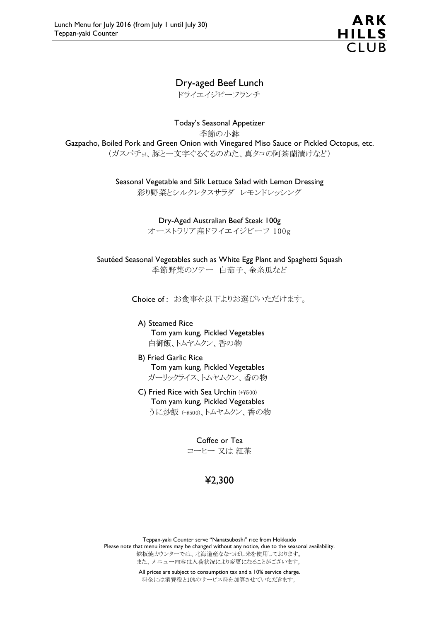

# Dry-aged Beef Lunch

ドライエイジビーフランチ

Today's Seasonal Appetizer 季節の小鉢 Gazpacho, Boiled Pork and Green Onion with Vinegared Miso Sauce or Pickled Octopus, etc. (ガスパチョ、豚と一文字ぐるぐるのぬた、真タコの阿茶蘭漬けなど)

> Seasonal Vegetable and Silk Lettuce Salad with Lemon Dressing 彩り野菜とシルクレタスサラダ レモンドレッシング

> > Dry-Aged Australian Beef Steak 100g オーストラリア産ドライエイジビーフ 100g

Sautéed Seasonal Vegetables such as White Egg Plant and Spaghetti Squash 季節野菜のソテー 白茄子、金糸瓜など

Choice of : お食事を以下よりお選びいただけます。

- A) Steamed Rice Tom yam kung, Pickled Vegetables 白御飯、トムヤムクン、香の物
- B) Fried Garlic Rice Tom yam kung, Pickled Vegetables ガーリックライス、トムヤムクン、香の物
- C) Fried Rice with Sea Urchin (+¥500) Tom yam kung, Pickled Vegetables うに炒飯 (+¥500)、トムヤムクン、香の物

Coffee or Tea コーヒー 又は 紅茶

# ¥2,300

Teppan-yaki Counter serve "Nanatsuboshi" rice from Hokkaido Please note that menu items may be changed without any notice, due to the seasonal availability. 鉄板焼カウンターでは、北海道産ななつぼし米を使用しております。 また、メニュー内容は入荷状況により変更になることがございます。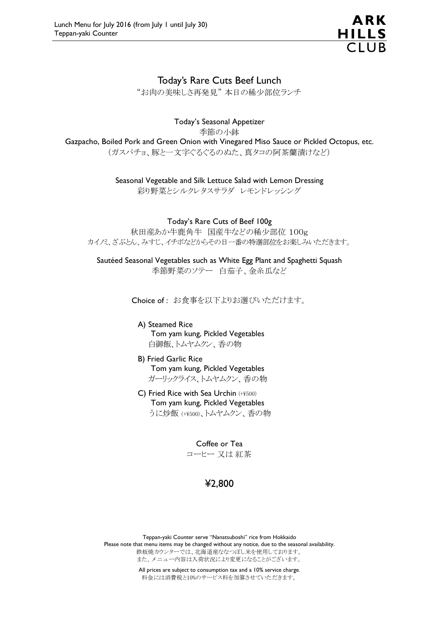

### Today's Rare Cuts Beef Lunch

"お肉の美味しさ再発見" 本日の稀少部位ランチ

#### Today's Seasonal Appetizer

季節の小鉢

Gazpacho, Boiled Pork and Green Onion with Vinegared Miso Sauce or Pickled Octopus, etc.

(ガスパチョ、豚と一文字ぐるぐるのぬた、真タコの阿茶蘭漬けなど)

Seasonal Vegetable and Silk Lettuce Salad with Lemon Dressing

彩り野菜とシルクレタスサラダ レモンドレッシング

Today's Rare Cuts of Beef 100g

秋田産あか牛鹿角牛 国産牛などの稀少部位 100g カイノミ、ざぶとん、みすじ、イチボなどからその日一番の特選部位をお楽しみいただきます。

Sautéed Seasonal Vegetables such as White Egg Plant and Spaghetti Squash 季節野菜のソテー 白茄子、金糸瓜など

Choice of : お食事を以下よりお選びいただけます。

- A) Steamed Rice Tom yam kung, Pickled Vegetables 白御飯、トムヤムクン、香の物
- B) Fried Garlic Rice Tom yam kung, Pickled Vegetables ガーリックライス、トムヤムクン、香の物
- C) Fried Rice with Sea Urchin (+¥500) Tom yam kung, Pickled Vegetables うに炒飯 (+¥500)、トムヤムクン、香の物

Coffee or Tea コーヒー 又は 紅茶

# ¥2,800

Teppan-yaki Counter serve "Nanatsuboshi" rice from Hokkaido Please note that menu items may be changed without any notice, due to the seasonal availability. 鉄板焼カウンターでは、北海道産ななつぼし米を使用しております。 また、メニュー内容は入荷状況により変更になることがございます。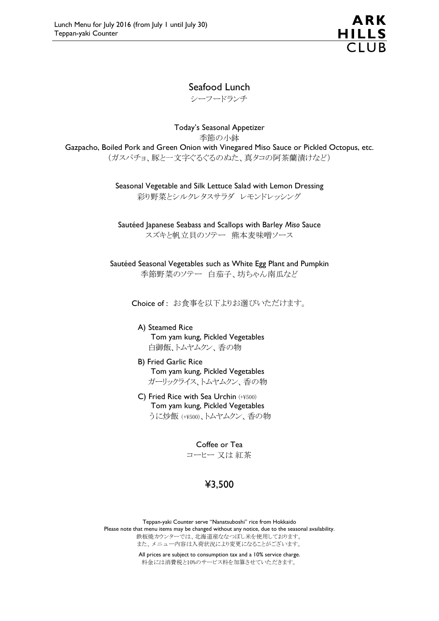

## Seafood Lunch

シーフードランチ

Today's Seasonal Appetizer 季節の小鉢 Gazpacho, Boiled Pork and Green Onion with Vinegared Miso Sauce or Pickled Octopus, etc. (ガスパチョ、豚と一文字ぐるぐるのぬた、真タコの阿茶蘭漬けなど)

> Seasonal Vegetable and Silk Lettuce Salad with Lemon Dressing 彩り野菜とシルクレタスサラダ レモンドレッシング

Sautéed Japanese Seabass and Scallops with Barley Miso Sauce スズキと帆立貝のソテー 熊本麦味噌ソース

Sautéed Seasonal Vegetables such as White Egg Plant and Pumpkin 季節野菜のソテー 白茄子、坊ちゃん南瓜など

Choice of : お食事を以下よりお選びいただけます。

A) Steamed Rice Tom yam kung, Pickled Vegetables 白御飯、トムヤムクン、香の物

- B) Fried Garlic Rice Tom yam kung, Pickled Vegetables ガーリックライス、トムヤムクン、香の物
- C) Fried Rice with Sea Urchin (+¥500) Tom yam kung, Pickled Vegetables うに炒飯 (+¥500)、トムヤムクン、香の物

Coffee or Tea コーヒー 又は 紅茶

# ¥3,500

Teppan-yaki Counter serve "Nanatsuboshi" rice from Hokkaido Please note that menu items may be changed without any notice, due to the seasonal availability. 鉄板焼カウンターでは、北海道産ななつぼし米を使用しております。 また、メニュー内容は入荷状況により変更になることがございます。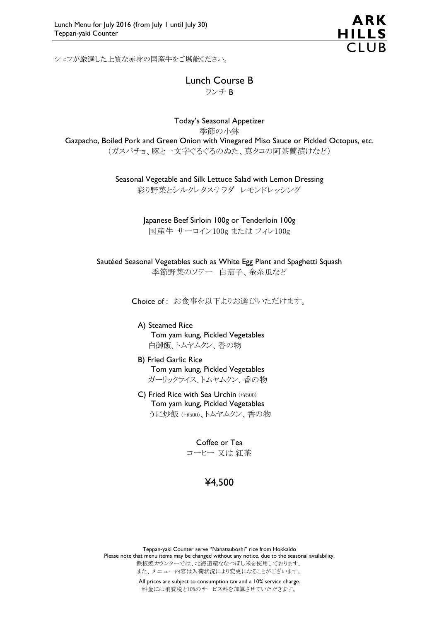

シェフが厳選した上質な赤身の国産牛をご堪能ください。

Today's Seasonal Appetizer 季節の小鉢 Gazpacho, Boiled Pork and Green Onion with Vinegared Miso Sauce or Pickled Octopus, etc. (ガスパチョ、豚と一文字ぐるぐるのぬた、真タコの阿茶蘭漬けなど)

Seasonal Vegetable and Silk Lettuce Salad with Lemon Dressing

彩り野菜とシルクレタスサラダ レモンドレッシング

Japanese Beef Sirloin 100g or Tenderloin 100g 国産牛 サーロイン100g または フィレ100g

Sautéed Seasonal Vegetables such as White Egg Plant and Spaghetti Squash 季節野菜のソテー 白茄子、金糸瓜など

Choice of : お食事を以下よりお選びいただけます。

- A) Steamed Rice Tom yam kung, Pickled Vegetables 白御飯、トムヤムクン、香の物
- B) Fried Garlic Rice Tom yam kung, Pickled Vegetables ガーリックライス、トムヤムクン、香の物
- C) Fried Rice with Sea Urchin (+¥500) Tom yam kung, Pickled Vegetables うに炒飯 (+¥500)、トムヤムクン、香の物

Coffee or Tea コーヒー 又は 紅茶

# ¥4,500

Teppan-yaki Counter serve "Nanatsuboshi" rice from Hokkaido Please note that menu items may be changed without any notice, due to the seasonal availability. 鉄板焼カウンターでは、北海道産ななつぼし米を使用しております。 また、メニュー内容は入荷状況により変更になることがございます。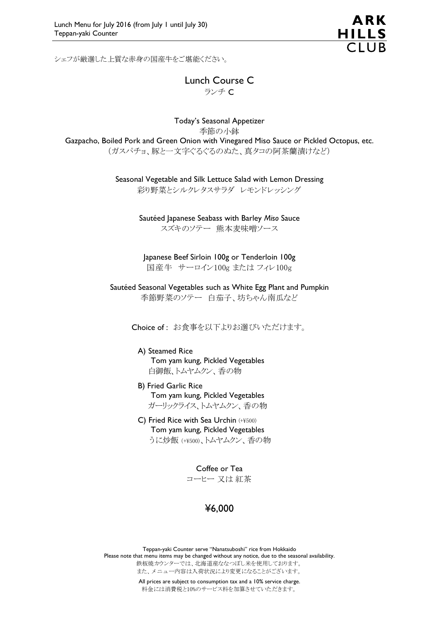ARK **HILLS** 

シェフが厳選した上質な赤身の国産牛をご堪能ください。

Today's Seasonal Appetizer 季節の小鉢 Gazpacho, Boiled Pork and Green Onion with Vinegared Miso Sauce or Pickled Octopus, etc. (ガスパチョ、豚と一文字ぐるぐるのぬた、真タコの阿茶蘭漬けなど)

Seasonal Vegetable and Silk Lettuce Salad with Lemon Dressing

彩り野菜とシルクレタスサラダ レモンドレッシング

Sautéed Japanese Seabass with Barley Miso Sauce スズキのソテー 熊本麦味噌ソース

Japanese Beef Sirloin 100g or Tenderloin 100g 国産牛 サーロイン100g または フィレ100g

Sautéed Seasonal Vegetables such as White Egg Plant and Pumpkin 季節野菜のソテー 白茄子、坊ちゃん南瓜など

Choice of : お食事を以下よりお選びいただけます。

#### A) Steamed Rice Tom yam kung, Pickled Vegetables 白御飯、トムヤムクン、香の物

- B) Fried Garlic Rice
- Tom yam kung, Pickled Vegetables ガーリックライス、トムヤムクン、香の物
- C) Fried Rice with Sea Urchin (+¥500) Tom yam kung, Pickled Vegetables うに炒飯 (+¥500)、トムヤムクン、香の物

Coffee or Tea

コーヒー 又は 紅茶

# ¥6,000

Teppan-yaki Counter serve "Nanatsuboshi" rice from Hokkaido Please note that menu items may be changed without any notice, due to the seasonal availability. 鉄板焼カウンターでは、北海道産ななつぼし米を使用しております。 また、メニュー内容は入荷状況により変更になることがございます。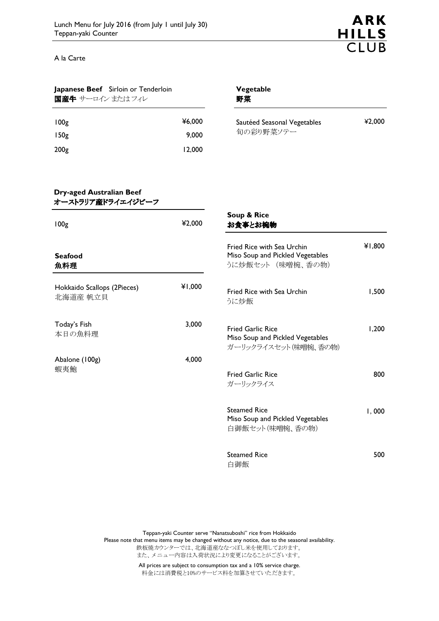A la Carte



| Japanese Beef Sirloin or Tenderloin |        | Vegetable    |
|-------------------------------------|--------|--------------|
| 国産牛 サーロイン またはフィレ                    |        | 野菜           |
| 100 <sub>g</sub>                    | ¥6,000 | Sautéed Seas |
| 150 <sub>g</sub>                    | 9,000  | 旬の彩り野        |
| 200 <sub>g</sub>                    | 12.000 |              |
|                                     |        |              |

| Sautéed Seasonal Vegetables | ¥2,000 |
|-----------------------------|--------|
| 旬の彩り野菜ソテー                   |        |

#### Dry-aged Australian Beef オーストラリア産ドライエイジビーフ

| 100 <sub>g</sub>                        | ¥2,000 | Soup & Rice<br>お食事とお椀物                                                                |        |  |
|-----------------------------------------|--------|---------------------------------------------------------------------------------------|--------|--|
| <b>Seafood</b><br>魚料理                   |        | Fried Rice with Sea Urchin<br>Miso Soup and Pickled Vegetables<br>うに炒飯セット (味噌椀、香の物)   | ¥1,800 |  |
| Hokkaido Scallops (2Pieces)<br>北海道産 帆立貝 | ¥1,000 | Fried Rice with Sea Urchin<br>うに炒飯                                                    | 1,500  |  |
| Today's Fish<br>本日の魚料理                  | 3,000  | <b>Fried Garlic Rice</b><br>Miso Soup and Pickled Vegetables<br>ガーリックライスセット (味噌椀、香の物) | 1,200  |  |
| Abalone (100g)<br>蝦夷鮑                   | 4,000  | <b>Fried Garlic Rice</b><br>ガーリックライス                                                  | 800    |  |
|                                         |        | <b>Steamed Rice</b><br>Miso Soup and Pickled Vegetables<br>白御飯セット(味噌椀、香の物)            | I,000  |  |
|                                         |        | <b>Steamed Rice</b><br>白御飯                                                            | 500    |  |

Teppan-yaki Counter serve "Nanatsuboshi" rice from Hokkaido Please note that menu items may be changed without any notice, due to the seasonal availability. 鉄板焼カウンターでは、北海道産ななつぼし米を使用しております。 また、メニュー内容は入荷状況により変更になることがございます。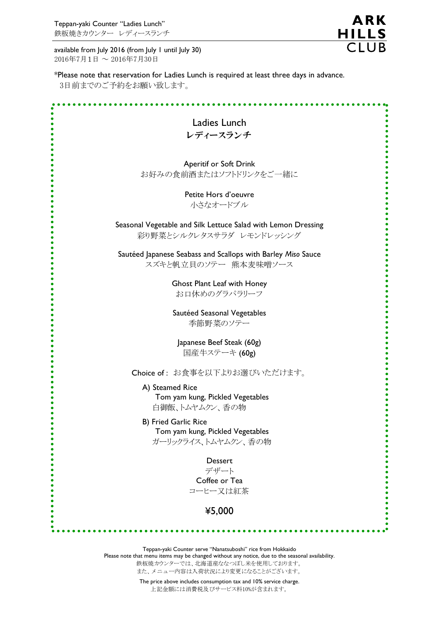available from July 2016 (from July 1 until July 30) 2016年7月1日 ~ 2016年7月30日

**ARK** HILLS<br>CLUB

\*Please note that reservation for Ladies Lunch is required at least three days in advance. 3日前までのご予約をお願い致します。

| Ladies Lunch                                                                                                                        |
|-------------------------------------------------------------------------------------------------------------------------------------|
| レディースランチ                                                                                                                            |
|                                                                                                                                     |
| Aperitif or Soft Drink                                                                                                              |
| お好みの食前酒またはソフトドリンクをご一緒に                                                                                                              |
|                                                                                                                                     |
| Petite Hors d'oeuvre                                                                                                                |
| 小さなオードブル                                                                                                                            |
| Seasonal Vegetable and Silk Lettuce Salad with Lemon Dressing                                                                       |
| 彩り野菜とシルクレタスサラダ レモンドレッシング                                                                                                            |
|                                                                                                                                     |
| Sautéed Japanese Seabass and Scallops with Barley Miso Sauce                                                                        |
| スズキと帆立貝のソテー 熊本麦味噌ソース                                                                                                                |
| <b>Ghost Plant Leaf with Honey</b>                                                                                                  |
| お口休めのグラパラリーフ                                                                                                                        |
|                                                                                                                                     |
| Sautéed Seasonal Vegetables                                                                                                         |
| 季節野菜のソテー                                                                                                                            |
| Japanese Beef Steak (60g)                                                                                                           |
| 国産牛ステーキ (60g)                                                                                                                       |
|                                                                                                                                     |
| Choice of: お食事を以下よりお選びいただけます。                                                                                                       |
| A) Steamed Rice                                                                                                                     |
| Tom yam kung, Pickled Vegetables                                                                                                    |
| 白御飯、トムヤムクン、香の物                                                                                                                      |
| <b>B) Fried Garlic Rice</b>                                                                                                         |
| Tom yam kung, Pickled Vegetables                                                                                                    |
| ガーリックライス、トムヤムクン、香の物                                                                                                                 |
| Dessert                                                                                                                             |
| デザート                                                                                                                                |
| Coffee or Tea                                                                                                                       |
| コーヒー又は紅茶                                                                                                                            |
| ¥5,000                                                                                                                              |
|                                                                                                                                     |
|                                                                                                                                     |
|                                                                                                                                     |
| Teppan-yaki Counter serve "Nanatsuboshi" rice from Hokkaido                                                                         |
| Please note that menu items may be changed without any notice, due to the seasonal availability.<br>鉄板焼カウンターでは、北海道産ななつぼし米を使用しております。 |

また、メニュー内容は入荷状況により変更になることがございます。

 The price above includes consumption tax and 10% service charge. 上記金額には消費税及びサービス料10%が含まれます。